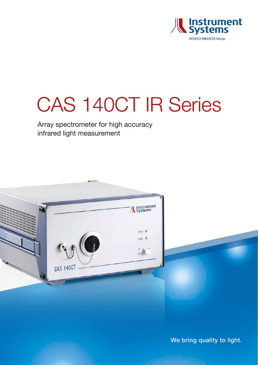

# CAS 140CT IR Series

Array spectrometer for high accuracy infrared light measurement



We bring quality to light.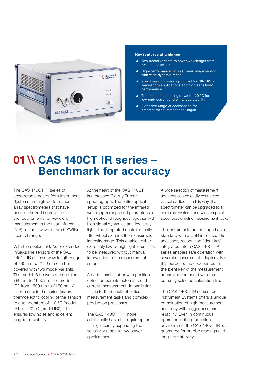

#### Key features at a glance

- Two model variants to cover wavelength from 780 nm – 2150 nm
- High-performance InGaAs linear image sensor with wide dynamic range
- Spectrograph design optimized for NIR/SWIR wavelength applications and high-sensitivity performance
- $\blacktriangle$  Thermoelectric cooling down to -20 °C for low dark current and enhanced stability
- $\blacktriangle$  Extensive range of accessories for different measurement challenges

### 01 \\ CAS 140CT IR series – Benchmark for accuracy

The CAS 140CT IR series of spectroradiometers from Instrument Systems are high-performance array spectrometers that have been optimized in order to fulfill the requirements for wavelength measurement in the near-infrared (NIR) to short-wave infrared (SWIR) spectral range.

With the cooled InGaAs or extended InGaAs line sensors of the CAS 140CT IR series a wavelength range of 780 nm to 2150 nm can be covered with two model variants. The model IR1 covers a range from 780 nm to 1650 nm, the model IR2 from 1500 nm to 2150 nm. All instruments in the series feature thermoelectric cooling of the sensors to a temperature of -10 °C (model IR1) or -20 °C (model IR2). This ensures low noise and excellent long-term stability.

At the heart of the CAS 140CT is a crossed Czerny-Turner spectrograph. The entire optical setup is optimized for the infrared wavelength range and guarantees a high optical throughput together with high signal dynamics and low stray light. The integrated neutral density filter wheel extends the measurable intensity range. This enables either extremely low or high light intensities to be measured without manual intervention in the measurement setup.

An additional shutter with position detection permits automatic dark current measurement. In particular, this is to the benefit of critical measurement tasks and complex production processes.

The CAS 140CT IR1 model additionally has a high-gain option for significantly expanding the sensitivity range to low power applications.

A wide selection of measurement adapters can be easily connected via optical fibers. In this way, the spectrometer can be upgraded to a complete system for a wide range of spectroradiometric measurement tasks.

The instruments are equipped as a standard with a USB interface. The accessory recognition (Ident key) integrated into a CAS 140CT IR series enables safe operation with several measurement adapters. For this purpose, the code stored in the Ident key of the measurement adapter is compared with the currently selected calibration file.

The CAS 140CT IR series from Instrument Systems offers a unique combination of high measurement accuracy with ruggedness and reliability. Even in continuous operation in the production environment, the CAS 140CT IR is a guarantee for precise readings and long-term stability.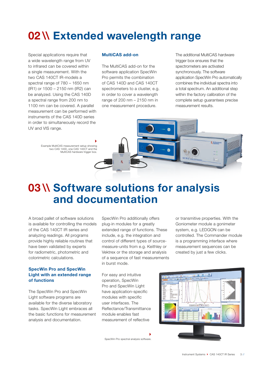### 02 \\ Extended wavelength range

Special applications require that a wide wavelength range from UV to infrared can be covered within a single measurement. With the two CAS 140CT IR-models a spectral range of 780 – 1650 nm (IR1) or 1500 – 2150 nm (IR2) can be analyzed. Using the CAS 140D a spectral range from 200 nm to 1100 nm can be covered. A parallel measurement can be performed with instruments of the CAS 140D series in order to simultaneously record the UV and VIS range.

#### MultiCAS add-on

The MultiCAS add-on for the software application SpecWin Pro permits the combination of CAS 140D and CAS 140CT spectrometers to a cluster, e.g. in order to cover a wavelength range of 200 nm – 2150 nm in one measurement procedure.

The additional MultiCAS hardware trigger box ensures that the spectrometers are activated synchronously. The software application SpecWin Pro automatically combines the individual spectra into a total spectrum. An additional step within the factory calibration of the complete setup guarantees precise measurement results.



Þ.

### 03 \\ Software solutions for analysis and documentation

A broad pallet of software solutions is available for controlling the models of the CAS 140CT IR series and analyzing readings. All programs provide highly reliable routines that have been validated by experts for radiometric, photometric and colorimetric calculations.

#### SpecWin Pro and SpecWin Light with an extended range of functions

The SpecWin Pro and SpecWin Light software programs are available for the diverse laboratory tasks. SpecWin Light embraces all the basic functions for measurement analysis and documentation.

SpecWin Pro additionally offers plug-in modules for a greatly extended range of functions. These include, e.g. the integration and control of different types of sourcemeasure-units from e.g. Keithley or Vektrex or the storage and analysis of a sequence of fast measurements in burst mode.

or transmitive properties. With the Goniometer module a gonimeter system, e.g. LEDGON can be controlled. The Commander module is a programming interface where measurement sequences can be created by just a few clicks.

ra.

äh.

For easy and intuitive operation, SpecWin Pro and SpecWin Light have application-specific modules with specific user interfaces. The Reflectance/Transmittance module enables fast measurement of reflective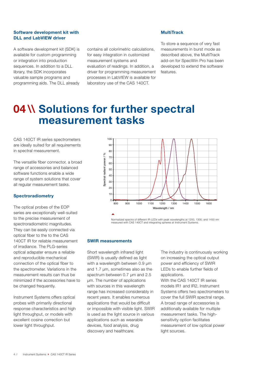#### Software development kit with DLL and LabVIEW driver

A software development kit (SDK) is available for custom programming or integration into production sequences. In addition to a DLL library, the SDK incorporates valuable sample programs and programming aids. The DLL already contains all colorimetric calculations, for easy integration in customized measurement systems and evaluation of readings. In addition, a driver for programming measurement processes in LabVIEW is available for laboratory use of the CAS 140CT.

#### MultiTrack

To store a sequence of very fast measurements in burst mode as described above, the MultiTrack add-on for SpecWin Pro has been developed to extend the software features.

### 04 \\ Solutions for further spectral measurement tasks

CAS 140CT IR series spectrometers are ideally suited for all requirements in spectral measurement.

The versatile fiber connector, a broad range of accessories and balanced software functions enable a wide range of system solutions that cover all regular measurement tasks.

#### **Spectroradiometry**

The optical probes of the EOP series are exceptionally well-suited to the precise measurement of spectroradiometric magnitudes. They can be easily connected via optical fiber to the to the CAS 140CT IR for reliable measurement of irradiance. The PLG-series optical adapater ensure a reliable and reproducible mechanical connection of the optical fiber to the spectrometer. Variations in the measurement results can thus be minimized if the accessories have to be changed frequently.

Instrument Systems offers optical probes with primarily directional response characteristics and high light throughput, or models with excellent cosine correction but lower light throughput.



Normalized spectra of different IR-LEDs with peak wavelengths at 1200, 1300, and 1450 nm measured with CAS 140CT and integrating spheres at Instrument Systems.

#### SWIR measurements

Short wavelength infrared light (SWIR) is usually defined as light with a wavelength between 0.9 um and 1.7 µm, sometimes also as the spectrum between 0.7 µm and 2.5 µm. The number of applications with sources in this wavelength range has increased considerably in recent years. It enables numerous applications that would be difficult or impossible with visible light. SWIR is used as the light source in various applications such as wearable devices, food analysis, drug discovery and healthcare.

The industry is continuously working on increasing the optical output power and efficiency of SWIR LEDs to enable further fields of applications.

With the CAS 140CT IR series models IR1 and IR2, Instrument Systems offers two spectrometers to cover the full SWIR spectral range. A broad range of accessories is additionally available for multiple measurement tasks. The highsensitivity option facilitates measurement of low optical power light sources.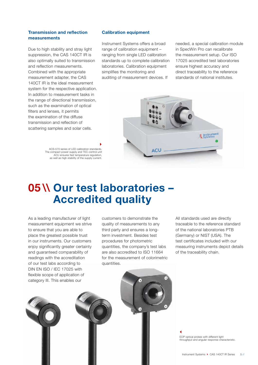#### Transmission and reflection measurements

Due to high stability and stray light suppression, the CAS 140CT IR is also optimally suited to transmission and reflection measurements. Combined with the appropriate measurement adapter, the CAS 140CT IR is the ideal measurement system for the respective application. In addition to measurement tasks in the range of directional transmission, such as the examination of optical filters and lenses, it permits the examination of the diffuse transmission and reflection of scattering samples and solar cells.

> ACS-570 series of LED calibration standards. The compact power supply and TEC-control unit ACU ensures fast temperature regulation, as well as high stability of the supply current.

#### Calibration equipment

Instrument Systems offers a broad range of calibration equipment – ranging from single LED calibration standards up to complete calibration laboratories. Calibration equipment simplifies the monitoring and auditing of measurement devices. If

needed, a special calibration module in SpecWin Pro can recalibrate the measurement setup. Our ISO 17025 accredited test laboratories ensure highest accuracy and direct traceability to the reference standards of national institutes.



### 05 \\ Our test laboratories – Accredited quality

k.

As a leading manufacturer of light measurement equipment we strive to ensure that you are able to place the greatest possible trust in our instruments. Our customers enjoy significantly greater certainty and guaranteed comparability of readings with the accreditation of our test labs according to DIN EN ISO / IEC 17025 with flexible scope of application of category III. This enables our

customers to demonstrate the quality of measurements to any third party and ensures a longterm investment. Besides test procedures for photometric quantities, the company's test labs are also accredited to ISO 11664 for the measurement of colorimetric quantities.

All standards used are directly traceable to the reference standard of the national laboratories PTB (Germany) or NIST (USA). The test certificates included with our measuring instruments depict details of the traceability chain.

 $\blacktriangleleft$ EOP optical probes with different light throughput and angular response characteristic.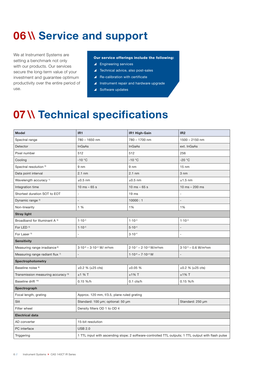## 06 \\ Service and support

We at Instrument Systems are setting a benchmark not only with our products. Our services secure the long-term value of your investment and guarantee optimum productivity over the entire period of use.

#### Our service offerings include the following:

- $\blacktriangle$  Engineering services
- $\blacktriangle$  Technical advice, also post-sales
- $\triangle$  Re-calibration with certificate
- $\blacktriangle$  Instrument repair and hardware upgrade
- $\triangle$  Software updates

### 07 \\ Technical specifications

| <b>Model</b>                                  | IR <sub>1</sub>                                                                                    | IR1 High-Gain                               | IR <sub>2</sub>                       |  |  |
|-----------------------------------------------|----------------------------------------------------------------------------------------------------|---------------------------------------------|---------------------------------------|--|--|
| Spectral range                                | 780 - 1650 nm                                                                                      | 780 - 1700 nm                               | $1500 - 2150$ nm                      |  |  |
| Detector                                      | <b>InGaAs</b>                                                                                      | <b>InGaAs</b>                               | ext. InGaAs                           |  |  |
| Pixel number                                  | 512                                                                                                | 512                                         | 256                                   |  |  |
| Cooling                                       | $-10$ °C                                                                                           | $-10 °C$                                    | $-20 °C$                              |  |  |
| Spectral resolution <sup>0)</sup>             | $9 \, \text{nm}$                                                                                   | 9 <sub>nm</sub>                             | $15 \text{ nm}$                       |  |  |
| Data point interval                           | $2.1$ nm                                                                                           | $2.1 \text{ nm}$                            | 3 nm                                  |  |  |
| Wavelength accuracy <sup>1)</sup>             | $±0.5$ nm                                                                                          | $\pm 0.5$ nm                                | $±1.5$ nm                             |  |  |
| Integration time                              | $10$ ms $-65$ s                                                                                    | $10$ ms $-65$ s                             | 10 ms $- 200$ ms                      |  |  |
| Shortest duration SOT to EOT                  | $\overline{\phantom{a}}$                                                                           | 19 <sub>ms</sub>                            | $\overline{\phantom{m}}$              |  |  |
| Dynamic range <sup>2)</sup>                   |                                                                                                    | 10000:1                                     |                                       |  |  |
| Non-linearity                                 | 1 %                                                                                                | 1%                                          | 1%                                    |  |  |
| <b>Stray light</b>                            |                                                                                                    |                                             |                                       |  |  |
| Broadband for Illuminant A <sup>3)</sup>      | $1.10^{-3}$                                                                                        | $1.10^{-3}$                                 | $1.10^{-3}$                           |  |  |
| For LED <sup>4)</sup>                         | $1.10^{-3}$                                                                                        | $5.10^{-4}$                                 | $\overline{a}$                        |  |  |
| For Laser <sup>5)</sup>                       |                                                                                                    | $3.10 - 4$                                  | $\overline{a}$                        |  |  |
| <b>Sensitivity</b>                            |                                                                                                    |                                             |                                       |  |  |
| Measuring range irradiance <sup>6)</sup>      | $3.10^{-6} - 3.10^{+4}$ W/ m <sup>2</sup> nm                                                       | $2.10^{-7} - 2.10^{+4}$ W/m <sup>2</sup> nm | $3.10^{-5} - 0.6$ W/m <sup>2</sup> nm |  |  |
| Measuring range radiant flux 7)               | $\overline{\phantom{a}}$                                                                           | $1.10^{-6} - 7.10^{+4}$ W                   | $\overline{\phantom{m}}$              |  |  |
| <b>Spectrophotometry</b>                      |                                                                                                    |                                             |                                       |  |  |
| Baseline noise <sup>8)</sup>                  | $\pm 0.2$ % ( $\pm 25$ cts)                                                                        | ±0.05%                                      | $\pm 0.2$ % ( $\pm 25$ cts)           |  |  |
| Transmission measuring accuracy <sup>9)</sup> | $±1$ % T                                                                                           | $±1\%$ T                                    | $±1\%$ T                              |  |  |
| Baseline drift 10)                            | $0.15 \%$ /h                                                                                       | $0.1$ cts/h                                 | $0.15\%$ /h                           |  |  |
| Spectrograph                                  |                                                                                                    |                                             |                                       |  |  |
| Focal length, grating                         | Approx. 120 mm, f/3.5, plane ruled grating                                                         |                                             |                                       |  |  |
| Slit                                          | Standard: 100 µm; optional: 50 µm<br>Standard: 250 µm                                              |                                             |                                       |  |  |
| Filter wheel                                  | Density filters OD 1 to OD 4                                                                       |                                             |                                       |  |  |
| <b>Electrical data</b>                        |                                                                                                    |                                             |                                       |  |  |
| AD converter                                  | 15-bit resolution                                                                                  |                                             |                                       |  |  |
| PC interface                                  | <b>USB 2.0</b>                                                                                     |                                             |                                       |  |  |
| Triggering                                    | 1 TTL input with ascending slope; 2 software-controlled TTL outputs; 1 TTL output with flash pulse |                                             |                                       |  |  |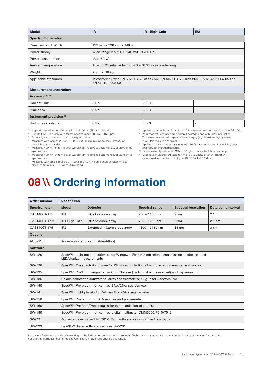| <b>Model</b>                       | IR <sub>1</sub>                                                                                             | IR1 High-Gain | IR <sub>2</sub>          |  |  |  |
|------------------------------------|-------------------------------------------------------------------------------------------------------------|---------------|--------------------------|--|--|--|
| Spectrophotometry                  |                                                                                                             |               |                          |  |  |  |
| Dimensions (H, W, D)               | 192 mm x 330 mm x 348 mm                                                                                    |               |                          |  |  |  |
| Power supply                       | Wide-range input 100-240 VAC 50/60 Hz                                                                       |               |                          |  |  |  |
| Power consumption                  | Max. 50 VA                                                                                                  |               |                          |  |  |  |
| Ambient temperature                | 15 – 35 °C; relative humidity 0 – 70 %, non-condensing                                                      |               |                          |  |  |  |
| Weight                             | Approx. 10 kg                                                                                               |               |                          |  |  |  |
| Applicable standards               | In conformity with EN 60721-4-7 Class 7M2, EN 60721-4-7 Class 2M2, EN 61326:2004-05 and<br>EN 61010-2002-08 |               |                          |  |  |  |
| <b>Measurement uncertainty</b>     |                                                                                                             |               |                          |  |  |  |
| Accuracy <sup>1), 11)</sup>        |                                                                                                             |               |                          |  |  |  |
| <b>Radiant Flux</b>                | 5.0 %                                                                                                       | 5.0 %         | $\overline{\phantom{0}}$ |  |  |  |
| Irradiance                         | 5.0 %                                                                                                       | 5.0 %         | $\overline{\phantom{0}}$ |  |  |  |
| Instrument precision <sup>1)</sup> |                                                                                                             |               |                          |  |  |  |
| Radiometric integral               | 0.2%                                                                                                        | 0.2%          | $\overline{\phantom{0}}$ |  |  |  |

0) Approximate values for 100 µm (IR1) and 250 µm (IR2) standard slit.

1) For IR1 High-Gain, only valid for the spectral range 780 nm – 1650 nm.

<sup>2)</sup> For a single acquisition with 10ms integration time.

3) Measured with long pass filter FELH1100 at 900nm, relative to peak intensity of unweighted spectral data.

4) Measured 400 nm left to the peak wavelength, relative to peak intensity of unweighted spectral data.

5) Measured 150 nm left to the peak wavelength, relative to peak intensity of unweighted spectral data.

6) Measured with optical probe EOP-120 and OFG-414 fiber bundle at 1200 nm and signal/noise ratio of 10:1, without averaging.

 $7)$  Applies to a signal-to-noise ratio of 10:1. Measured with integrating sphere ISP 150L. 8) With shortest integration time, without averaging and with 50 % modulation. This value improves with appropriate averaging (e.g. 9-fold averaging results

in a 3-fold reduction of noise). <sup>9)</sup> Applies to optimum spectral range; with 10 % transmission and immediately after recording an averaged baseline.

10) Typical value. Applies with LS100-130 light source after 1-hour warm-up. <sup>11)</sup> Expanded measurement uncertainty (k=2), immediately after calibration, determined for spectra of LED type ACS570-44 at 1300 nm.

## 08 \\ Ordering information

| Order number        | <b>Description</b>                                                                                                         |                             |                       |                            |                     |  |  |
|---------------------|----------------------------------------------------------------------------------------------------------------------------|-----------------------------|-----------------------|----------------------------|---------------------|--|--|
| <b>Spectrometer</b> | <b>Model</b>                                                                                                               | <b>Detector</b>             | <b>Spectral range</b> | <b>Spectral resolution</b> | Data point interval |  |  |
| CAS140CT-171        | IR <sub>1</sub>                                                                                                            | InGaAs diode array          | $780 - 1650$ nm       | $9 \, \text{nm}$           | $2.1 \text{ nm}$    |  |  |
| CAS140CT-171H       | IR1 High-Gain                                                                                                              | InGaAs diode array          | $780 - 1700$ nm       | 9 <sub>nm</sub>            | $2.1 \text{ nm}$    |  |  |
| CAS140CT-175        | IR <sub>2</sub>                                                                                                            | Extended InGaAs diode array | $1500 - 2150$ nm      | $15 \text{ nm}$            | 3 nm                |  |  |
| <b>Options</b>      |                                                                                                                            |                             |                       |                            |                     |  |  |
| ACS-010             | Accessory identification (Ident-Key)                                                                                       |                             |                       |                            |                     |  |  |
| <b>Software</b>     |                                                                                                                            |                             |                       |                            |                     |  |  |
| SW-120              | SpecWin Light spectral software for Windows. Features emission-, transmission-, reflexion- and<br>LED/display-measurements |                             |                       |                            |                     |  |  |
| SW-130              | SpecWin Pro spectral software for Windows. Including all modules and measurement modes                                     |                             |                       |                            |                     |  |  |
| SW-135              | SpecWin Pro/Light language pack for Chinese (traditional und simplified) and Japanese                                      |                             |                       |                            |                     |  |  |
| SW-136              | Calaris calibration software for array spectrometers; plug-in for SpecWin Pro                                              |                             |                       |                            |                     |  |  |
| SW-140              | SpecWin Pro plug-in for Keithley 24xx/26xx sourcemeter                                                                     |                             |                       |                            |                     |  |  |
| SW-141              | SpecWin Light plug-in for Keithley 24xx/26xx sourcemeter                                                                   |                             |                       |                            |                     |  |  |
| SW-150              | SpecWin Pro plug-in for AC-sources and powermeter                                                                          |                             |                       |                            |                     |  |  |
| SW-160              | SpecWin Pro MultiTrack plug-in for fast acquisition of spectra                                                             |                             |                       |                            |                     |  |  |
| SW-180              | SpecWin Pro plug-in for Keithley digital multimeter DMM6500/7510/7512                                                      |                             |                       |                            |                     |  |  |
| SW-231              | Software development kit (SDK); DLL software for customized programs                                                       |                             |                       |                            |                     |  |  |
| SW-233              | LabVIEW driver software; requires SW-231                                                                                   |                             |                       |                            |                     |  |  |

Instrument Systems is continually working on the further development of its products. Technical changes, errors and misprints do not justify claims for damages. For all other purposes, our Terms and Conditions of Business shall be applicable.